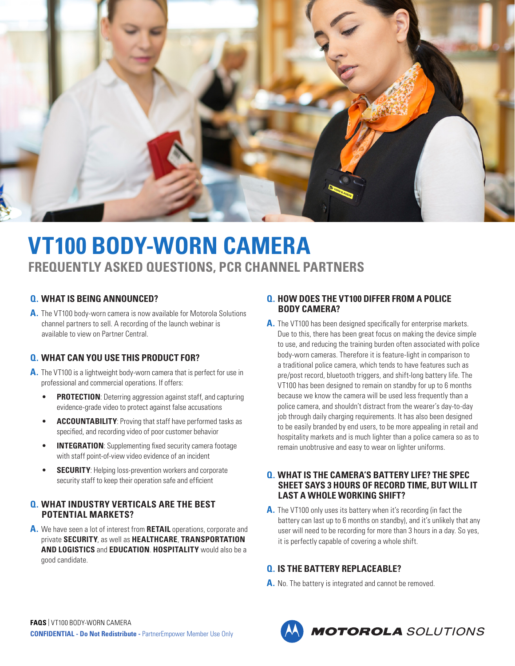

# **VT100 BODY-WORN CAMERA FREQUENTLY ASKED QUESTIONS, PCR CHANNEL PARTNERS**

#### **Q. WHAT IS BEING ANNOUNCED?**

**A.** The VT100 body-worn camera is now available for Motorola Solutions channel partners to sell. A recording of the launch webinar is available to view on Partner Central.

# **Q. WHAT CAN YOU USE THIS PRODUCT FOR?**

- **A.** The VT100 is a lightweight body-worn camera that is perfect for use in professional and commercial operations. If offers:
	- **PROTECTION**: Deterring aggression against staff, and capturing evidence-grade video to protect against false accusations
	- **ACCOUNTABILITY**: Proving that staff have performed tasks as specified, and recording video of poor customer behavior
	- **INTEGRATION:** Supplementing fixed security camera footage with staff point-of-view video evidence of an incident
	- **SECURITY:** Helping loss-prevention workers and corporate security staff to keep their operation safe and efficient

#### **Q. WHAT INDUSTRY VERTICALS ARE THE BEST POTENTIAL MARKETS?**

**A.** We have seen a lot of interest from **RETAIL** operations, corporate and private **SECURITY**, as well as **HEALTHCARE**, **TRANSPORTATION AND LOGISTICS** and **EDUCATION**. **HOSPITALITY** would also be a good candidate.

#### **Q. HOW DOES THE VT100 DIFFER FROM A POLICE BODY CAMERA?**

A. The VT100 has been designed specifically for enterprise markets. Due to this, there has been great focus on making the device simple to use, and reducing the training burden often associated with police body-worn cameras. Therefore it is feature-light in comparison to a traditional police camera, which tends to have features such as pre/post record, bluetooth triggers, and shift-long battery life. The VT100 has been designed to remain on standby for up to 6 months because we know the camera will be used less frequently than a police camera, and shouldn't distract from the wearer's day-to-day job through daily charging requirements. It has also been designed to be easily branded by end users, to be more appealing in retail and hospitality markets and is much lighter than a police camera so as to remain unobtrusive and easy to wear on lighter uniforms.

#### **Q. WHAT IS THE CAMERA'S BATTERY LIFE? THE SPEC SHEET SAYS 3 HOURS OF RECORD TIME, BUT WILL IT LAST A WHOLE WORKING SHIFT?**

**A.** The VT100 only uses its battery when it's recording (in fact the battery can last up to 6 months on standby), and it's unlikely that any user will need to be recording for more than 3 hours in a day. So yes, it is perfectly capable of covering a whole shift.

# **Q. IS THE BATTERY REPLACEABLE?**

**A.** No. The battery is integrated and cannot be removed.

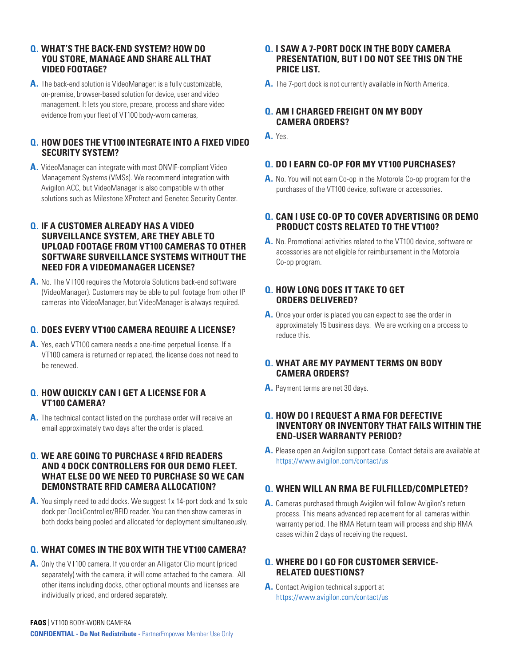#### **Q. WHAT'S THE BACK-END SYSTEM? HOW DO YOU STORE, MANAGE AND SHARE ALL THAT VIDEO FOOTAGE?**

**A.** The back-end solution is VideoManager: is a fully customizable, on-premise, browser-based solution for device, user and video management. It lets you store, prepare, process and share video evidence from your fleet of VT100 body-worn cameras,

## **Q. HOW DOES THE VT100 INTEGRATE INTO A FIXED VIDEO SECURITY SYSTEM?**

**A.** VideoManager can integrate with most ONVIF-compliant Video Management Systems (VMSs). We recommend integration with Avigilon ACC, but VideoManager is also compatible with other solutions such as Milestone XProtect and Genetec Security Center.

#### **Q. IF A CUSTOMER ALREADY HAS A VIDEO SURVEILLANCE SYSTEM, ARE THEY ABLE TO UPLOAD FOOTAGE FROM VT100 CAMERAS TO OTHER SOFTWARE SURVEILLANCE SYSTEMS WITHOUT THE NEED FOR A VIDEOMANAGER LICENSE?**

**A.** No. The VT100 requires the Motorola Solutions back-end software (VideoManager). Customers may be able to pull footage from other IP cameras into VideoManager, but VideoManager is always required.

# **Q. DOES EVERY VT100 CAMERA REQUIRE A LICENSE?**

**A.** Yes, each VT100 camera needs a one-time perpetual license. If a VT100 camera is returned or replaced, the license does not need to be renewed.

#### **Q. HOW QUICKLY CAN I GET A LICENSE FOR A VT100 CAMERA?**

**A.** The technical contact listed on the purchase order will receive an email approximately two days after the order is placed.

#### **Q. WE ARE GOING TO PURCHASE 4 RFID READERS AND 4 DOCK CONTROLLERS FOR OUR DEMO FLEET. WHAT ELSE DO WE NEED TO PURCHASE SO WE CAN DEMONSTRATE RFID CAMERA ALLOCATION?**

**A.** You simply need to add docks. We suggest 1x 14-port dock and 1x solo dock per DockController/RFID reader. You can then show cameras in both docks being pooled and allocated for deployment simultaneously.

# **Q. WHAT COMES IN THE BOX WITH THE VT100 CAMERA?**

**A.** Only the VT100 camera. If you order an Alligator Clip mount (priced separately) with the camera, it will come attached to the camera. All other items including docks, other optional mounts and licenses are individually priced, and ordered separately.

## **Q. I SAW A 7-PORT DOCK IN THE BODY CAMERA PRESENTATION, BUT I DO NOT SEE THIS ON THE PRICE LIST.**

**A.** The 7-port dock is not currently available in North America.

# **Q. AM I CHARGED FREIGHT ON MY BODY CAMERA ORDERS?**

**A.** Yes.

# **Q. DO I EARN CO-OP FOR MY VT100 PURCHASES?**

**A.** No. You will not earn Co-op in the Motorola Co-op program for the purchases of the VT100 device, software or accessories.

# **Q. CAN I USE CO-OP TO COVER ADVERTISING OR DEMO PRODUCT COSTS RELATED TO THE VT100?**

**A.** No. Promotional activities related to the VT100 device, software or accessories are not eligible for reimbursement in the Motorola Co-op program.

## **Q. HOW LONG DOES IT TAKE TO GET ORDERS DELIVERED?**

**A.** Once your order is placed you can expect to see the order in approximately 15 business days. We are working on a process to reduce this.

#### **Q. WHAT ARE MY PAYMENT TERMS ON BODY CAMERA ORDERS?**

**A.** Payment terms are net 30 days.

# **Q. HOW DO I REQUEST A RMA FOR DEFECTIVE INVENTORY OR INVENTORY THAT FAILS WITHIN THE END-USER WARRANTY PERIOD?**

**A.** Please open an Avigilon support case. Contact details are available at <https://www.avigilon.com/contact/us>

# **Q. WHEN WILL AN RMA BE FULFILLED/COMPLETED?**

**A.** Cameras purchased through Avigilon will follow Avigilon's return process. This means advanced replacement for all cameras within warranty period. The RMA Return team will process and ship RMA cases within 2 days of receiving the request.

# **Q. WHERE DO I GO FOR CUSTOMER SERVICE-RELATED QUESTIONS?**

**A.** Contact Avigilon technical support at <https://www.avigilon.com/contact/us>